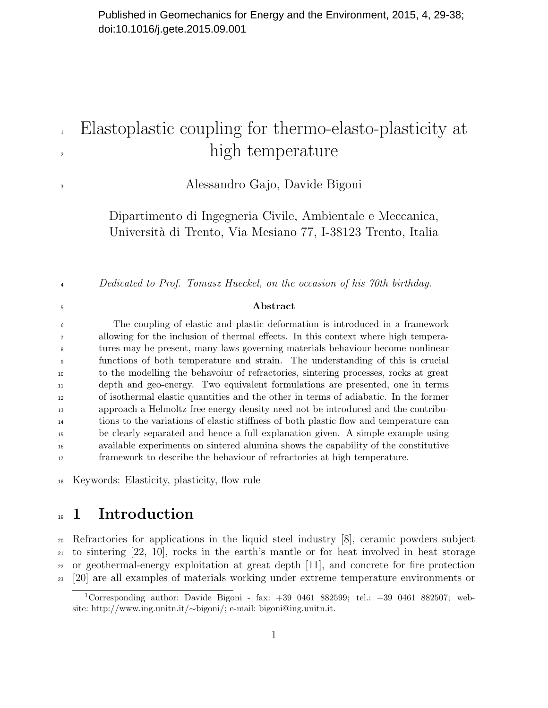# Elastoplastic coupling for thermo-elasto-plasticity at <sup>2</sup> high temperature

Alessandro Gajo, Davide Bigoni

Dipartimento di Ingegneria Civile, Ambientale e Meccanica, Universit`a di Trento, Via Mesiano 77, I-38123 Trento, Italia

4 Dedicated to Prof. Tomasz Hueckel, on the occasion of his 70th birthday.

#### Abstract

 The coupling of elastic and plastic deformation is introduced in a framework allowing for the inclusion of thermal effects. In this context where high tempera- tures may be present, many laws governing materials behaviour become nonlinear functions of both temperature and strain. The understanding of this is crucial to the modelling the behavoiur of refractories, sintering processes, rocks at great depth and geo-energy. Two equivalent formulations are presented, one in terms of isothermal elastic quantities and the other in terms of adiabatic. In the former approach a Helmoltz free energy density need not be introduced and the contribu- tions to the variations of elastic stiffness of both plastic flow and temperature can be clearly separated and hence a full explanation given. A simple example using available experiments on sintered alumina shows the capability of the constitutive framework to describe the behaviour of refractories at high temperature.

Keywords: Elasticity, plasticity, flow rule

## <sup>19</sup> 1 Introduction

 Refractories for applications in the liquid steel industry [8], ceramic powders subject to sintering [22, 10], rocks in the earth's mantle or for heat involved in heat storage or geothermal-energy exploitation at great depth [11], and concrete for fire protection [20] are all examples of materials working under extreme temperature environments or

<sup>&</sup>lt;sup>1</sup>Corresponding author: Davide Bigoni - fax:  $+39$  0461 882599; tel.:  $+39$  0461 882507; website: http://www.ing.unitn.it/∼bigoni/; e-mail: bigoni@ing.unitn.it.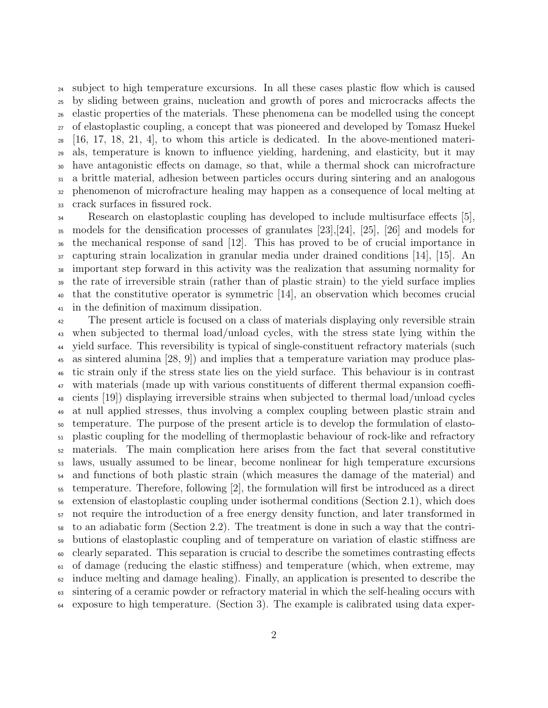subject to high temperature excursions. In all these cases plastic flow which is caused by sliding between grains, nucleation and growth of pores and microcracks affects the elastic properties of the materials. These phenomena can be modelled using the concept of elastoplastic coupling, a concept that was pioneered and developed by Tomasz Huekel  $_{28}$  [16, 17, 18, 21, 4], to whom this article is dedicated. In the above-mentioned materi- als, temperature is known to influence yielding, hardening, and elasticity, but it may have antagonistic effects on damage, so that, while a thermal shock can microfracture a brittle material, adhesion between particles occurs during sintering and an analogous phenomenon of microfracture healing may happen as a consequence of local melting at crack surfaces in fissured rock.

Research on elastoplastic coupling has developed to include multisurface effects [5], models for the densification processes of granulates [23],[24], [25], [26] and models for the mechanical response of sand [12]. This has proved to be of crucial importance in capturing strain localization in granular media under drained conditions [14], [15]. An important step forward in this activity was the realization that assuming normality for the rate of irreversible strain (rather than of plastic strain) to the yield surface implies that the constitutive operator is symmetric [14], an observation which becomes crucial in the definition of maximum dissipation.

 The present article is focused on a class of materials displaying only reversible strain when subjected to thermal load/unload cycles, with the stress state lying within the yield surface. This reversibility is typical of single-constituent refractory materials (such as sintered alumina [28, 9]) and implies that a temperature variation may produce plas- tic strain only if the stress state lies on the yield surface. This behaviour is in contrast with materials (made up with various constituents of different thermal expansion coeffi- cients [19]) displaying irreversible strains when subjected to thermal load/unload cycles at null applied stresses, thus involving a complex coupling between plastic strain and temperature. The purpose of the present article is to develop the formulation of elasto- plastic coupling for the modelling of thermoplastic behaviour of rock-like and refractory materials. The main complication here arises from the fact that several constitutive laws, usually assumed to be linear, become nonlinear for high temperature excursions <sup>54</sup> and functions of both plastic strain (which measures the damage of the material) and temperature. Therefore, following [2], the formulation will first be introduced as a direct extension of elastoplastic coupling under isothermal conditions (Section 2.1), which does not require the introduction of a free energy density function, and later transformed in to an adiabatic form (Section 2.2). The treatment is done in such a way that the contri- butions of elastoplastic coupling and of temperature on variation of elastic stiffness are clearly separated. This separation is crucial to describe the sometimes contrasting effects of damage (reducing the elastic stiffness) and temperature (which, when extreme, may  $\epsilon_2$  induce melting and damage healing). Finally, an application is presented to describe the sintering of a ceramic powder or refractory material in which the self-healing occurs with exposure to high temperature. (Section 3). The example is calibrated using data exper-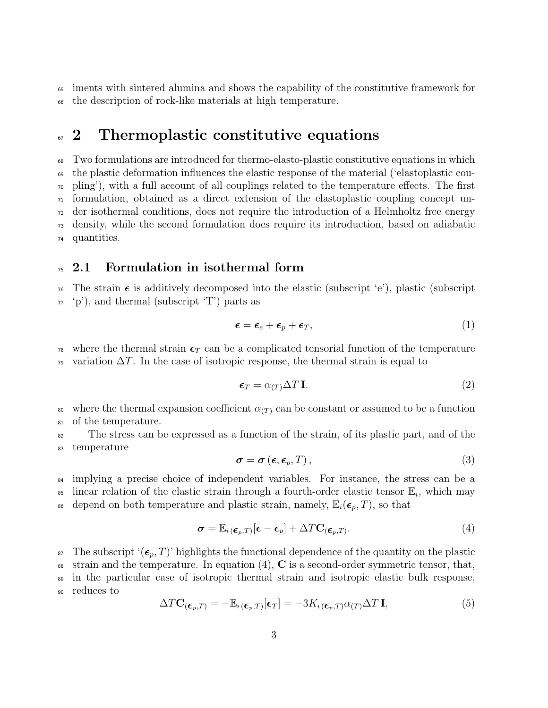<sup>65</sup> iments with sintered alumina and shows the capability of the constitutive framework for <sup>66</sup> the description of rock-like materials at high temperature.

### <sup>67</sup> 2 Thermoplastic constitutive equations

 Two formulations are introduced for thermo-elasto-plastic constitutive equations in which the plastic deformation influences the elastic response of the material ('elastoplastic cou- pling'), with a full account of all couplings related to the temperature effects. The first formulation, obtained as a direct extension of the elastoplastic coupling concept un- der isothermal conditions, does not require the introduction of a Helmholtz free energy density, while the second formulation does require its introduction, based on adiabatic quantities.

#### $75\,$  2.1 Formulation in isothermal form

<sup>76</sup> The strain  $\epsilon$  is additively decomposed into the elastic (subscript 'e'), plastic (subscript  $\tau_7$  'p'), and thermal (subscript 'T') parts as

$$
\boldsymbol{\epsilon} = \boldsymbol{\epsilon}_e + \boldsymbol{\epsilon}_p + \boldsymbol{\epsilon}_T,\tag{1}
$$

<sup>78</sup> where the thermal strain  $\epsilon_T$  can be a complicated tensorial function of the temperature  $\gamma_9$  variation  $\Delta T$ . In the case of isotropic response, the thermal strain is equal to

$$
\epsilon_T = \alpha_{(T)} \Delta T \mathbf{I}.\tag{2}
$$

80 where the thermal expansion coefficient  $\alpha(T)$  can be constant or assumed to be a function <sup>81</sup> of the temperature.

<sup>82</sup> The stress can be expressed as a function of the strain, of its plastic part, and of the <sup>83</sup> temperature

$$
\boldsymbol{\sigma} = \boldsymbol{\sigma} \left( \boldsymbol{\epsilon}, \boldsymbol{\epsilon}_p, T \right), \tag{3}
$$

<sup>84</sup> implying a precise choice of independent variables. For instance, the stress can be a <sup>85</sup> linear relation of the elastic strain through a fourth-order elastic tensor  $\mathbb{E}_i$ , which may <sup>86</sup> depend on both temperature and plastic strain, namely,  $\mathbb{E}_i(\epsilon_p, T)$ , so that

$$
\boldsymbol{\sigma} = \mathbb{E}_{i(\boldsymbol{\epsilon}_p,T)}[\boldsymbol{\epsilon} - \boldsymbol{\epsilon}_p] + \Delta T \mathbf{C}_{(\boldsymbol{\epsilon}_p,T)}.
$$
\n(4)

<sup>87</sup> The subscript ' $(\epsilon_p, T)$ ' highlights the functional dependence of the quantity on the plastic 88 strain and the temperature. In equation  $(4)$ , C is a second-order symmetric tensor, that, <sup>89</sup> in the particular case of isotropic thermal strain and isotropic elastic bulk response, <sup>90</sup> reduces to

$$
\Delta T \mathbf{C}_{(\boldsymbol{\epsilon}_p, T)} = -\mathbb{E}_{i(\boldsymbol{\epsilon}_p, T)}[\boldsymbol{\epsilon}_T] = -3K_{i(\boldsymbol{\epsilon}_p, T)}\alpha_{(T)}\Delta T \mathbf{I},\tag{5}
$$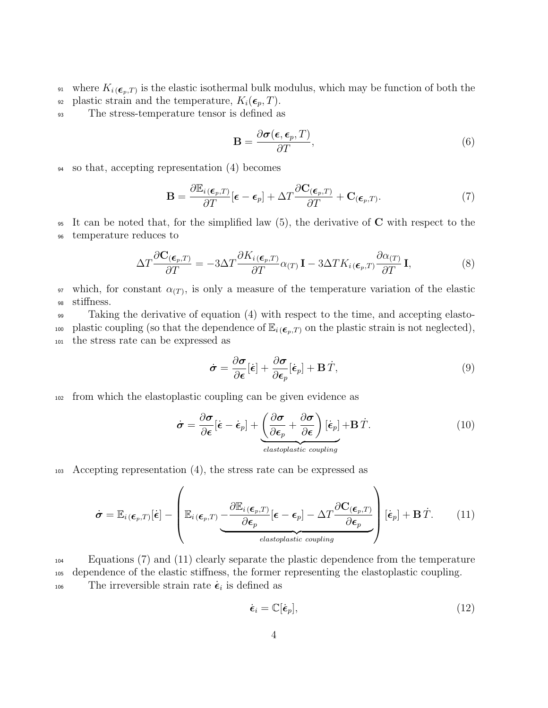<sup>91</sup> where  $K_{i}$ <sub>( $\epsilon_{p},$ T)</sub> is the elastic isothermal bulk modulus, which may be function of both the 92 plastic strain and the temperature,  $K_i(\epsilon_p, T)$ .

<sup>93</sup> The stress-temperature tensor is defined as

$$
\mathbf{B} = \frac{\partial \sigma(\epsilon, \epsilon_p, T)}{\partial T},\tag{6}
$$

<sup>94</sup> so that, accepting representation (4) becomes

$$
\mathbf{B} = \frac{\partial \mathbb{E}_i(\boldsymbol{\epsilon}_p, T)}{\partial T} [\boldsymbol{\epsilon} - \boldsymbol{\epsilon}_p] + \Delta T \frac{\partial \mathbf{C}_{(\boldsymbol{\epsilon}_p, T)}}{\partial T} + \mathbf{C}_{(\boldsymbol{\epsilon}_p, T)}.
$$
(7)

 $\frac{1}{95}$  It can be noted that, for the simplified law (5), the derivative of C with respect to the <sup>96</sup> temperature reduces to

$$
\Delta T \frac{\partial \mathbf{C}_{(\boldsymbol{\epsilon}_p, T)}}{\partial T} = -3\Delta T \frac{\partial K_i(\boldsymbol{\epsilon}_p, T)}{\partial T} \alpha_{(T)} \mathbf{I} - 3\Delta T K_i(\boldsymbol{\epsilon}_p, T) \frac{\partial \alpha_{(T)}}{\partial T} \mathbf{I},
$$
\n(8)

<sup>97</sup> which, for constant  $\alpha(T)$ , is only a measure of the temperature variation of the elastic <sup>98</sup> stiffness.

<sup>99</sup> Taking the derivative of equation (4) with respect to the time, and accepting elasto-100 plastic coupling (so that the dependence of  $\mathbb{E}_{i}$  ( $\epsilon_{p},T$ ) on the plastic strain is not neglected), <sup>101</sup> the stress rate can be expressed as

$$
\dot{\boldsymbol{\sigma}} = \frac{\partial \boldsymbol{\sigma}}{\partial \boldsymbol{\epsilon}}[\dot{\boldsymbol{\epsilon}}] + \frac{\partial \boldsymbol{\sigma}}{\partial \boldsymbol{\epsilon}_p}[\dot{\boldsymbol{\epsilon}}_p] + \mathbf{B}\dot{T},
$$
\n(9)

<sup>102</sup> from which the elastoplastic coupling can be given evidence as

$$
\dot{\boldsymbol{\sigma}} = \frac{\partial \boldsymbol{\sigma}}{\partial \boldsymbol{\epsilon}} [\dot{\boldsymbol{\epsilon}} - \dot{\boldsymbol{\epsilon}}_p] + \underbrace{\left(\frac{\partial \boldsymbol{\sigma}}{\partial \boldsymbol{\epsilon}_p} + \frac{\partial \boldsymbol{\sigma}}{\partial \boldsymbol{\epsilon}}\right) [\dot{\boldsymbol{\epsilon}}_p] + \mathbf{B} \dot{T}}_{elastoplastic coupling}.
$$
\n(10)

<sup>103</sup> Accepting representation (4), the stress rate can be expressed as

$$
\dot{\boldsymbol{\sigma}} = \mathbb{E}_{i(\boldsymbol{\epsilon}_p,T)}[\dot{\boldsymbol{\epsilon}}] - \left(\mathbb{E}_{i(\boldsymbol{\epsilon}_p,T)} \underbrace{-\frac{\partial \mathbb{E}_{i(\boldsymbol{\epsilon}_p,T)}}{\partial \boldsymbol{\epsilon}_p} [\boldsymbol{\epsilon} - \boldsymbol{\epsilon}_p] - \Delta T \frac{\partial \mathbf{C}_{(\boldsymbol{\epsilon}_p,T)}}{\partial \boldsymbol{\epsilon}_p}}_{\text{elastoplastic coupling}} \right) [\dot{\boldsymbol{\epsilon}}_p] + \mathbf{B} \dot{T}.
$$
 (11)

<sup>104</sup> Equations (7) and (11) clearly separate the plastic dependence from the temperature <sup>105</sup> dependence of the elastic stiffness, the former representing the elastoplastic coupling. 106 The irreversible strain rate  $\dot{\epsilon}_i$  is defined as

$$
\dot{\boldsymbol{\epsilon}}_i = \mathbb{C}[\dot{\boldsymbol{\epsilon}}_p],\tag{12}
$$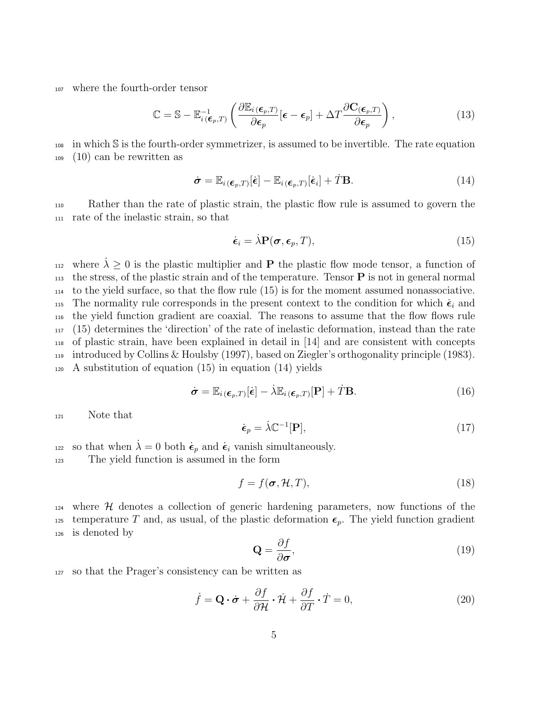<sup>107</sup> where the fourth-order tensor

$$
\mathbb{C} = \mathbb{S} - \mathbb{E}_{i(\boldsymbol{\epsilon}_p,T)}^{-1} \left( \frac{\partial \mathbb{E}_{i(\boldsymbol{\epsilon}_p,T)}}{\partial \boldsymbol{\epsilon}_p} [\boldsymbol{\epsilon} - \boldsymbol{\epsilon}_p] + \Delta T \frac{\partial \mathbf{C}_{(\boldsymbol{\epsilon}_p,T)}}{\partial \boldsymbol{\epsilon}_p} \right),
$$
(13)

<sup>108</sup> in which S is the fourth-order symmetrizer, is assumed to be invertible. The rate equation <sup>109</sup> (10) can be rewritten as

$$
\dot{\boldsymbol{\sigma}} = \mathbb{E}_{i(\boldsymbol{\epsilon}_p,T)}[\dot{\boldsymbol{\epsilon}}] - \mathbb{E}_{i(\boldsymbol{\epsilon}_p,T)}[\dot{\boldsymbol{\epsilon}}_i] + \dot{T} \mathbf{B}.
$$
\n(14)

<sup>110</sup> Rather than the rate of plastic strain, the plastic flow rule is assumed to govern the <sup>111</sup> rate of the inelastic strain, so that

$$
\dot{\boldsymbol{\epsilon}}_i = \dot{\lambda} \mathbf{P}(\boldsymbol{\sigma}, \boldsymbol{\epsilon}_p, T), \tag{15}
$$

where  $\lambda \geq 0$  is the plastic multiplier and **P** the plastic flow mode tensor, a function of  $_{113}$  the stress, of the plastic strain and of the temperature. Tensor **P** is not in general normal to the yield surface, so that the flow rule (15) is for the moment assumed nonassociative. The normality rule corresponds in the present context to the condition for which  $\dot{\epsilon}_i$  and the yield function gradient are coaxial. The reasons to assume that the flow flows rule (15) determines the 'direction' of the rate of inelastic deformation, instead than the rate of plastic strain, have been explained in detail in [14] and are consistent with concepts introduced by Collins & Houlsby (1997), based on Ziegler's orthogonality principle (1983). A substitution of equation (15) in equation (14) yields

$$
\dot{\boldsymbol{\sigma}} = \mathbb{E}_{i(\boldsymbol{\epsilon}_p, T)}[\dot{\boldsymbol{\epsilon}}] - \dot{\lambda} \mathbb{E}_{i(\boldsymbol{\epsilon}_p, T)}[\mathbf{P}] + \dot{T} \mathbf{B}.
$$
 (16)

<sup>121</sup> Note that

$$
\dot{\epsilon}_p = \dot{\lambda} \mathbb{C}^{-1}[\mathbf{P}],\tag{17}
$$

so that when  $\lambda = 0$  both  $\dot{\epsilon}_p$  and  $\dot{\epsilon}_i$  vanish simultaneously.

<sup>123</sup> The yield function is assumed in the form

$$
f = f(\boldsymbol{\sigma}, \mathcal{H}, T), \tag{18}
$$

 $124$  where H denotes a collection of generic hardening parameters, now functions of the 125 temperature T and, as usual, of the plastic deformation  $\epsilon_p$ . The yield function gradient <sup>126</sup> is denoted by

$$
\mathbf{Q} = \frac{\partial f}{\partial \sigma},\tag{19}
$$

<sup>127</sup> so that the Prager's consistency can be written as

$$
\dot{f} = \mathbf{Q} \cdot \dot{\boldsymbol{\sigma}} + \frac{\partial f}{\partial \mathcal{H}} \cdot \dot{\mathcal{H}} + \frac{\partial f}{\partial T} \cdot \dot{T} = 0,
$$
\n(20)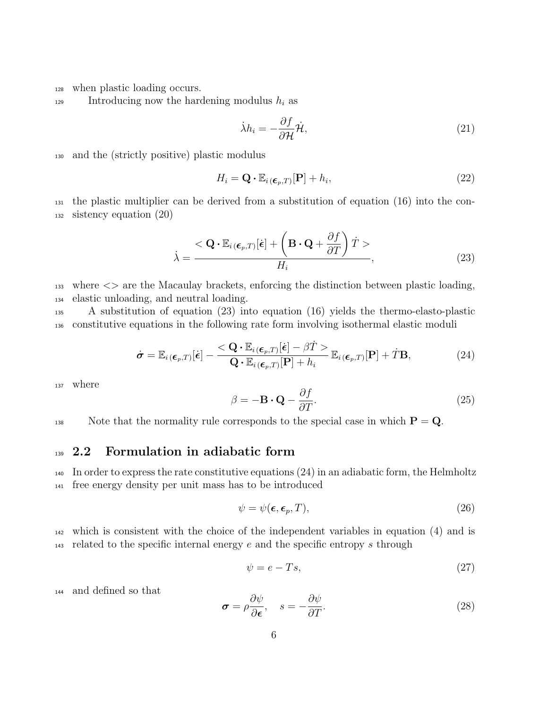<sup>128</sup> when plastic loading occurs.

129 Introducing now the hardening modulus  $h_i$  as

$$
\dot{\lambda}h_i = -\frac{\partial f}{\partial \mathcal{H}}\dot{\mathcal{H}},\tag{21}
$$

<sup>130</sup> and the (strictly positive) plastic modulus

$$
H_i = \mathbf{Q} \cdot \mathbb{E}_{i(\boldsymbol{\epsilon}_p, T)}[\mathbf{P}] + h_i,
$$
\n(22)

<sup>131</sup> the plastic multiplier can be derived from a substitution of equation (16) into the con-<sup>132</sup> sistency equation (20)

$$
\dot{\lambda} = \frac{<\mathbf{Q} \cdot \mathbb{E}_{i(\boldsymbol{\epsilon}_p,T)}[\dot{\boldsymbol{\epsilon}}] + \left(\mathbf{B} \cdot \mathbf{Q} + \frac{\partial f}{\partial T}\right)\dot{T}>}{H_i},\tag{23}
$$

 $_{133}$  where  $\langle \rangle$  are the Macaulay brackets, enforcing the distinction between plastic loading, <sup>134</sup> elastic unloading, and neutral loading.

<sup>135</sup> A substitution of equation (23) into equation (16) yields the thermo-elasto-plastic <sup>136</sup> constitutive equations in the following rate form involving isothermal elastic moduli

$$
\dot{\boldsymbol{\sigma}} = \mathbb{E}_{i(\boldsymbol{\epsilon}_p,T)}[\dot{\boldsymbol{\epsilon}}] - \frac{\langle \mathbf{Q} \cdot \mathbb{E}_{i(\boldsymbol{\epsilon}_p,T)}[\dot{\boldsymbol{\epsilon}}] - \beta \dot{T} \rangle}{\mathbf{Q} \cdot \mathbb{E}_{i(\boldsymbol{\epsilon}_p,T)}[\mathbf{P}] + h_i} \mathbb{E}_{i(\boldsymbol{\epsilon}_p,T)}[\mathbf{P}] + \dot{T} \mathbf{B},
$$
\n(24)

<sup>137</sup> where

$$
\beta = -\mathbf{B} \cdot \mathbf{Q} - \frac{\partial f}{\partial T}.
$$
\n(25)

138 Note that the normality rule corresponds to the special case in which  $P = Q$ .

#### <sup>139</sup> 2.2 Formulation in adiabatic form

<sup>140</sup> In order to express the rate constitutive equations (24) in an adiabatic form, the Helmholtz <sup>141</sup> free energy density per unit mass has to be introduced

$$
\psi = \psi(\epsilon, \epsilon_p, T),\tag{26}
$$

<sup>142</sup> which is consistent with the choice of the independent variables in equation (4) and is  $143$  related to the specific internal energy e and the specific entropy s through

$$
\psi = e - Ts,\tag{27}
$$

<sup>144</sup> and defined so that

$$
\sigma = \rho \frac{\partial \psi}{\partial \epsilon}, \quad s = -\frac{\partial \psi}{\partial T}.
$$
 (28)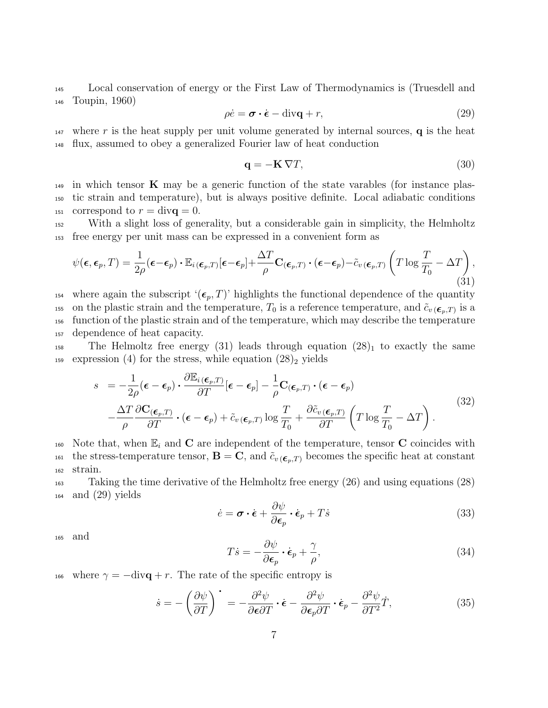<sup>145</sup> Local conservation of energy or the First Law of Thermodynamics is (Truesdell and <sup>146</sup> Toupin, 1960)

$$
\rho \dot{e} = \boldsymbol{\sigma} \cdot \dot{\boldsymbol{\epsilon}} - \text{div}\mathbf{q} + r,\tag{29}
$$

<sup>147</sup> where r is the heat supply per unit volume generated by internal sources, **q** is the heat <sup>148</sup> flux, assumed to obey a generalized Fourier law of heat conduction

$$
\mathbf{q} = -\mathbf{K}\nabla T,\tag{30}
$$

<sup>149</sup> in which tensor **K** may be a generic function of the state varables (for instance plas-<sup>150</sup> tic strain and temperature), but is always positive definite. Local adiabatic conditions <sup>151</sup> correspond to  $r = \text{div}\mathbf{q} = 0$ .

<sup>152</sup> With a slight loss of generality, but a considerable gain in simplicity, the Helmholtz <sup>153</sup> free energy per unit mass can be expressed in a convenient form as

$$
\psi(\boldsymbol{\epsilon}, \boldsymbol{\epsilon}_p, T) = \frac{1}{2\rho} (\boldsymbol{\epsilon} - \boldsymbol{\epsilon}_p) \cdot \mathbb{E}_{i(\boldsymbol{\epsilon}_p, T)}[\boldsymbol{\epsilon} - \boldsymbol{\epsilon}_p] + \frac{\Delta T}{\rho} \mathbf{C}_{(\boldsymbol{\epsilon}_p, T)} \cdot (\boldsymbol{\epsilon} - \boldsymbol{\epsilon}_p) - \tilde{c}_{v(\boldsymbol{\epsilon}_p, T)} \left( T \log \frac{T}{T_0} - \Delta T \right),
$$
\n(31)

<sup>154</sup> where again the subscript ' $(\epsilon_p, T)$ ' highlights the functional dependence of the quantity to 155 is a reference temperature,  $T_0$  is a reference temperature, and  $\tilde{c}_{v(\boldsymbol{\epsilon}_p,T)}$  is a <sup>156</sup> function of the plastic strain and of the temperature, which may describe the temperature <sup>157</sup> dependence of heat capacity.

<sup>158</sup> The Helmoltz free energy (31) leads through equation  $(28)_1$  to exactly the same 159 expression (4) for the stress, while equation  $(28)_2$  yields

$$
s = -\frac{1}{2\rho}(\boldsymbol{\epsilon} - \boldsymbol{\epsilon}_p) \cdot \frac{\partial \mathbb{E}_i(\boldsymbol{\epsilon}_p, T)}{\partial T} [\boldsymbol{\epsilon} - \boldsymbol{\epsilon}_p] - \frac{1}{\rho} \mathbf{C}_{(\boldsymbol{\epsilon}_p, T)} \cdot (\boldsymbol{\epsilon} - \boldsymbol{\epsilon}_p) -\frac{\Delta T}{\rho} \frac{\partial \mathbf{C}_{(\boldsymbol{\epsilon}_p, T)}}{\partial T} \cdot (\boldsymbol{\epsilon} - \boldsymbol{\epsilon}_p) + \tilde{c}_{v(\boldsymbol{\epsilon}_p, T)} \log \frac{T}{T_0} + \frac{\partial \tilde{c}_{v(\boldsymbol{\epsilon}_p, T)}}{\partial T} \left( T \log \frac{T}{T_0} - \Delta T \right).
$$
(32)

160 Note that, when  $\mathbb{E}_i$  and C are independent of the temperature, tensor C coincides with 161 the stress-temperature tensor,  $\mathbf{B} = \mathbf{C}$ , and  $\tilde{c}_{v(\boldsymbol{\epsilon}_n,T)}$  becomes the specific heat at constant <sup>162</sup> strain.

<sup>163</sup> Taking the time derivative of the Helmholtz free energy (26) and using equations (28)  $_{164}$  and  $(29)$  yields

$$
\dot{e} = \boldsymbol{\sigma} \cdot \dot{\boldsymbol{\epsilon}} + \frac{\partial \psi}{\partial \boldsymbol{\epsilon}_p} \cdot \dot{\boldsymbol{\epsilon}}_p + T\dot{s}
$$
 (33)

<sup>165</sup> and

$$
T\dot{s} = -\frac{\partial \psi}{\partial \epsilon_p} \cdot \dot{\epsilon}_p + \frac{\gamma}{\rho},\tag{34}
$$

166 where  $\gamma = -\text{div}\mathbf{q} + r$ . The rate of the specific entropy is

$$
\dot{s} = -\left(\frac{\partial\psi}{\partial T}\right)^{\cdot} = -\frac{\partial^2\psi}{\partial\epsilon\partial T} \cdot \dot{\epsilon} - \frac{\partial^2\psi}{\partial\epsilon_p\partial T} \cdot \dot{\epsilon}_p - \frac{\partial^2\psi}{\partial T^2}\dot{T},\tag{35}
$$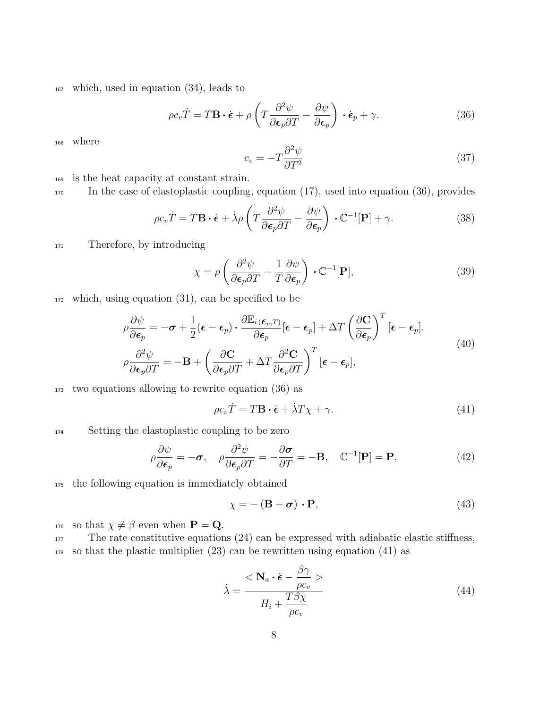<sup>167</sup> which, used in equation (34), leads to

$$
\rho c_v \dot{T} = T \mathbf{B} \cdot \dot{\boldsymbol{\epsilon}} + \rho \left( T \frac{\partial^2 \psi}{\partial \boldsymbol{\epsilon}_p \partial T} - \frac{\partial \psi}{\partial \boldsymbol{\epsilon}_p} \right) \cdot \dot{\boldsymbol{\epsilon}}_p + \gamma.
$$
 (36)

<sup>168</sup> where

$$
c_v = -T \frac{\partial^2 \psi}{\partial T^2} \tag{37}
$$

<sup>169</sup> is the heat capacity at constant strain.

<sup>170</sup> In the case of elastoplastic coupling, equation (17), used into equation (36), provides

$$
\rho c_v \dot{T} = T \mathbf{B} \cdot \dot{\boldsymbol{\epsilon}} + \dot{\lambda} \rho \left( T \frac{\partial^2 \psi}{\partial \boldsymbol{\epsilon}_p \partial T} - \frac{\partial \psi}{\partial \boldsymbol{\epsilon}_p} \right) \cdot \mathbb{C}^{-1} [\mathbf{P}] + \gamma.
$$
 (38)

<sup>171</sup> Therefore, by introducing

$$
\chi = \rho \left( \frac{\partial^2 \psi}{\partial \epsilon_p \partial T} - \frac{1}{T} \frac{\partial \psi}{\partial \epsilon_p} \right) \cdot \mathbb{C}^{-1}[\mathbf{P}], \tag{39}
$$

<sup>172</sup> which, using equation (31), can be specified to be

$$
\rho \frac{\partial \psi}{\partial \epsilon_p} = -\sigma + \frac{1}{2} (\epsilon - \epsilon_p) \cdot \frac{\partial \mathbb{E}_i(\epsilon_p, T)}{\partial \epsilon_p} [\epsilon - \epsilon_p] + \Delta T \left( \frac{\partial \mathbf{C}}{\partial \epsilon_p} \right)^T [\epsilon - \epsilon_p],
$$
\n
$$
\rho \frac{\partial^2 \psi}{\partial \epsilon_p \partial T} = -\mathbf{B} + \left( \frac{\partial \mathbf{C}}{\partial \epsilon_p \partial T} + \Delta T \frac{\partial^2 \mathbf{C}}{\partial \epsilon_p \partial T} \right)^T [\epsilon - \epsilon_p],
$$
\n(40)

<sup>173</sup> two equations allowing to rewrite equation (36) as

$$
\rho c_v \dot{T} = T \mathbf{B} \cdot \dot{\boldsymbol{\epsilon}} + \dot{\lambda} T \chi + \gamma.
$$
\n(41)

174 Setting the elastoplastic coupling to be zero

$$
\rho \frac{\partial \psi}{\partial \epsilon_p} = -\boldsymbol{\sigma}, \quad \rho \frac{\partial^2 \psi}{\partial \epsilon_p \partial T} = -\frac{\partial \boldsymbol{\sigma}}{\partial T} = -\mathbf{B}, \quad \mathbb{C}^{-1}[\mathbf{P}] = \mathbf{P}, \tag{42}
$$

<sup>175</sup> the following equation is immediately obtained

$$
\chi = -\left(\mathbf{B} - \boldsymbol{\sigma}\right) \cdot \mathbf{P},\tag{43}
$$

176 so that  $\chi \neq \beta$  even when  $\mathbf{P} = \mathbf{Q}$ .

177 The rate constitutive equations (24) can be expressed with adiabatic elastic stiffness, <sup>178</sup> so that the plastic multiplier (23) can be rewritten using equation (41) as

$$
\dot{\lambda} = \frac{<\mathbf{N}_a \cdot \dot{\boldsymbol{\epsilon}} - \frac{\beta \gamma}{\rho c_v}>}{H_i + \frac{T \beta \chi}{\rho c_v}}
$$
\n(44)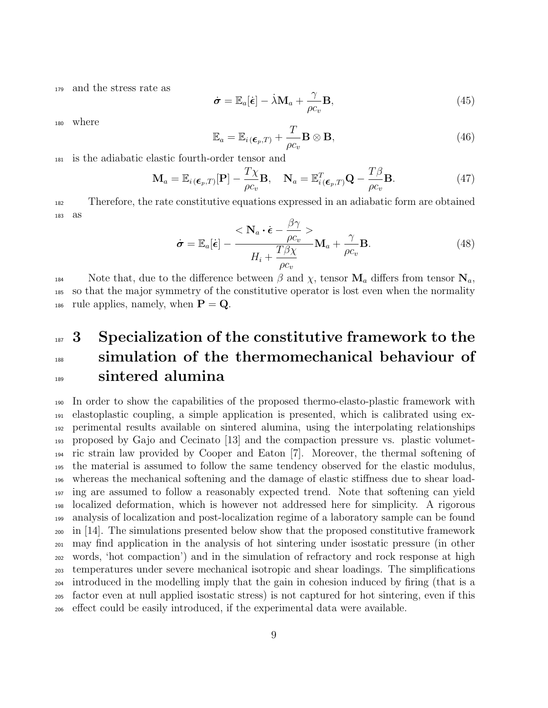<sup>179</sup> and the stress rate as

$$
\dot{\boldsymbol{\sigma}} = \mathbb{E}_a[\dot{\boldsymbol{\epsilon}}] - \dot{\lambda} \mathbf{M}_a + \frac{\gamma}{\rho c_v} \mathbf{B},\tag{45}
$$

<sup>180</sup> where

$$
\mathbb{E}_a = \mathbb{E}_{i(\boldsymbol{\epsilon}_p, T)} + \frac{T}{\rho c_v} \mathbf{B} \otimes \mathbf{B},\tag{46}
$$

<sup>181</sup> is the adiabatic elastic fourth-order tensor and

$$
\mathbf{M}_a = \mathbb{E}_{i(\boldsymbol{\epsilon}_p, T)}[\mathbf{P}] - \frac{T\chi}{\rho c_v} \mathbf{B}, \quad \mathbf{N}_a = \mathbb{E}_{i(\boldsymbol{\epsilon}_p, T)}^T \mathbf{Q} - \frac{T\beta}{\rho c_v} \mathbf{B}.
$$
 (47)

<sup>182</sup> Therefore, the rate constitutive equations expressed in an adiabatic form are obtained <sup>183</sup> as

$$
\dot{\boldsymbol{\sigma}} = \mathbb{E}_a[\dot{\boldsymbol{\epsilon}}] - \frac{<\mathbf{N}_a \cdot \dot{\boldsymbol{\epsilon}} - \frac{\beta \gamma}{\rho c_v} >}{H_i + \frac{T \beta \chi}{\rho c_v}} \mathbf{M}_a + \frac{\gamma}{\rho c_v} \mathbf{B}.
$$
\n(48)

184 Note that, due to the difference between  $\beta$  and  $\chi$ , tensor  $\mathbf{M}_a$  differs from tensor  $\mathbf{N}_a$ , <sup>185</sup> so that the major symmetry of the constitutive operator is lost even when the normality 186 rule applies, namely, when  $\mathbf{P} = \mathbf{Q}$ .

## 187 3 Specialization of the constitutive framework to the 188 simulation of the thermomechanical behaviour of 189 sintered alumina

 In order to show the capabilities of the proposed thermo-elasto-plastic framework with elastoplastic coupling, a simple application is presented, which is calibrated using ex- perimental results available on sintered alumina, using the interpolating relationships proposed by Gajo and Cecinato [13] and the compaction pressure vs. plastic volumet- ric strain law provided by Cooper and Eaton [7]. Moreover, the thermal softening of the material is assumed to follow the same tendency observed for the elastic modulus, whereas the mechanical softening and the damage of elastic stiffness due to shear load- ing are assumed to follow a reasonably expected trend. Note that softening can yield localized deformation, which is however not addressed here for simplicity. A rigorous analysis of localization and post-localization regime of a laboratory sample can be found in [14]. The simulations presented below show that the proposed constitutive framework may find application in the analysis of hot sintering under isostatic pressure (in other words, 'hot compaction') and in the simulation of refractory and rock response at high temperatures under severe mechanical isotropic and shear loadings. The simplifications introduced in the modelling imply that the gain in cohesion induced by firing (that is a factor even at null applied isostatic stress) is not captured for hot sintering, even if this effect could be easily introduced, if the experimental data were available.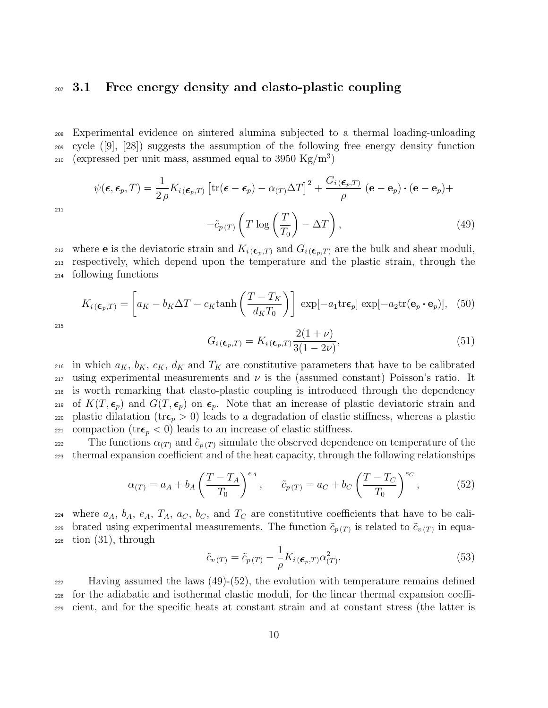#### 207 3.1 Free energy density and elasto-plastic coupling

<sup>208</sup> Experimental evidence on sintered alumina subjected to a thermal loading-unloading <sup>209</sup> cycle ([9], [28]) suggests the assumption of the following free energy density function  $_{210}$  (expressed per unit mass, assumed equal to 3950 Kg/m<sup>3</sup>)

$$
\psi(\boldsymbol{\epsilon}, \boldsymbol{\epsilon}_p, T) = \frac{1}{2\rho} K_{i(\boldsymbol{\epsilon}_p, T)} \left[ \text{tr}(\boldsymbol{\epsilon} - \boldsymbol{\epsilon}_p) - \alpha_{(T)} \Delta T \right]^2 + \frac{G_i(\boldsymbol{\epsilon}_p, T)}{\rho} (\mathbf{e} - \mathbf{e}_p) \cdot (\mathbf{e} - \mathbf{e}_p) +
$$

$$
- \tilde{c}_{p(T)} \left( T \log \left( \frac{T}{T_0} \right) - \Delta T \right), \tag{49}
$$

212 where **e** is the deviatoric strain and  $K_{i}$  ( $\epsilon_{p},T$ ) and  $G_{i}$  ( $\epsilon_{p},T$ ) are the bulk and shear moduli, <sup>213</sup> respectively, which depend upon the temperature and the plastic strain, through the <sup>214</sup> following functions

$$
K_{i(\boldsymbol{\epsilon}_p,T)} = \left[a_K - b_K \Delta T - c_K \tanh\left(\frac{T - T_K}{d_K T_0}\right)\right] \exp[-a_1 \text{tr}\boldsymbol{\epsilon}_p] \exp[-a_2 \text{tr}(\mathbf{e}_p \cdot \mathbf{e}_p)], \quad (50)
$$

215

211

$$
G_i(\epsilon_p, T) = K_i(\epsilon_p, T) \frac{2(1+\nu)}{3(1-2\nu)},
$$
\n(51)

216 in which  $a_K$ ,  $b_K$ ,  $c_K$ ,  $d_K$  and  $T_K$  are constitutive parameters that have to be calibrated  $_{217}$  using experimental measurements and  $\nu$  is the (assumed constant) Poisson's ratio. It <sup>218</sup> is worth remarking that elasto-plastic coupling is introduced through the dependency <sup>219</sup> of  $K(T, \epsilon_p)$  and  $G(T, \epsilon_p)$  on  $\epsilon_p$ . Note that an increase of plastic deviatoric strain and 220 plastic dilatation ( $\text{tr} \epsilon_p > 0$ ) leads to a degradation of elastic stiffness, whereas a plastic 221 compaction ( $tr\epsilon_p < 0$ ) leads to an increase of elastic stiffness.

222 The functions  $\alpha_{(T)}$  and  $\tilde{c}_{p(T)}$  simulate the observed dependence on temperature of the <sup>223</sup> thermal expansion coefficient and of the heat capacity, through the following relationships

$$
\alpha_{(T)} = a_A + b_A \left(\frac{T - T_A}{T_0}\right)^{e_A}, \qquad \tilde{c}_{p(T)} = a_C + b_C \left(\frac{T - T_C}{T_0}\right)^{e_C}, \tag{52}
$$

<sup>224</sup> where  $a_A$ ,  $b_A$ ,  $e_A$ ,  $T_A$ ,  $a_C$ ,  $b_C$ , and  $T_C$  are constitutive coefficients that have to be cali-225 brated using experimental measurements. The function  $\tilde{c}_{p(T)}$  is related to  $\tilde{c}_{v(T)}$  in equa- $_{226}$  tion  $(31)$ , through

$$
\tilde{c}_{v(T)} = \tilde{c}_{p(T)} - \frac{1}{\rho} K_{i(\boldsymbol{\epsilon}_p, T)} \alpha_{(T)}^2.
$$
\n(53)

 $_{227}$  Having assumed the laws (49)-(52), the evolution with temperature remains defined <sup>228</sup> for the adiabatic and isothermal elastic moduli, for the linear thermal expansion coeffi-<sup>229</sup> cient, and for the specific heats at constant strain and at constant stress (the latter is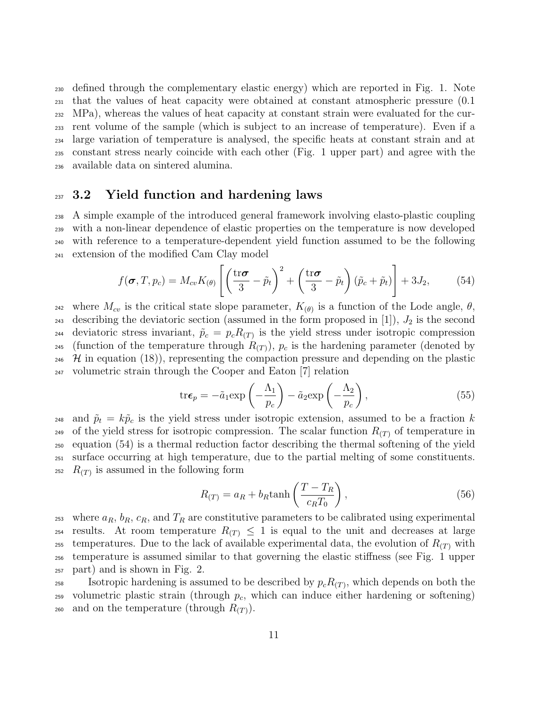defined through the complementary elastic energy) which are reported in Fig. 1. Note that the values of heat capacity were obtained at constant atmospheric pressure (0.1 MPa), whereas the values of heat capacity at constant strain were evaluated for the cur- rent volume of the sample (which is subject to an increase of temperature). Even if a large variation of temperature is analysed, the specific heats at constant strain and at constant stress nearly coincide with each other (Fig. 1 upper part) and agree with the available data on sintered alumina.

#### $_{237}$  3.2 Yield function and hardening laws

 A simple example of the introduced general framework involving elasto-plastic coupling with a non-linear dependence of elastic properties on the temperature is now developed with reference to a temperature-dependent yield function assumed to be the following extension of the modified Cam Clay model

$$
f(\boldsymbol{\sigma}, T, p_c) = M_{cv} K_{(\theta)} \left[ \left( \frac{\text{tr}\boldsymbol{\sigma}}{3} - \tilde{p}_t \right)^2 + \left( \frac{\text{tr}\boldsymbol{\sigma}}{3} - \tilde{p}_t \right) (\tilde{p}_c + \tilde{p}_t) \right] + 3J_2, \quad (54)
$$

242 where  $M_{cv}$  is the critical state slope parameter,  $K_{(\theta)}$  is a function of the Lode angle,  $\theta$ , 243 describing the deviatoric section (assumed in the form proposed in [1]),  $J_2$  is the second 244 deviatoric stress invariant,  $\tilde{p}_c = p_c R_{(T)}$  is the yield stress under isotropic compression <sup>245</sup> (function of the temperature through  $R(T)$ ),  $p_c$  is the hardening parameter (denoted by  $\mathcal{H}$  in equation (18)), representing the compaction pressure and depending on the plastic <sup>247</sup> volumetric strain through the Cooper and Eaton [7] relation

$$
\text{tr}\epsilon_p = -\tilde{a}_1 \exp\left(-\frac{\Lambda_1}{p_c}\right) - \tilde{a}_2 \exp\left(-\frac{\Lambda_2}{p_c}\right),\tag{55}
$$

<sup>248</sup> and  $\tilde{p}_t = k\tilde{p}_c$  is the yield stress under isotropic extension, assumed to be a fraction k 249 of the yield stress for isotropic compression. The scalar function  $R(T)$  of temperature in <sup>250</sup> equation (54) is a thermal reduction factor describing the thermal softening of the yield <sup>251</sup> surface occurring at high temperature, due to the partial melting of some constituents. <sup>252</sup>  $R(T)$  is assumed in the following form

$$
R_{(T)} = a_R + b_R \tanh\left(\frac{T - T_R}{c_R T_0}\right),\tag{56}
$$

<sup>253</sup> where  $a_R$ ,  $b_R$ ,  $c_R$ , and  $T_R$  are constitutive parameters to be calibrated using experimental 254 results. At room temperature  $R(T) \leq 1$  is equal to the unit and decreases at large <sup>255</sup> temperatures. Due to the lack of available experimental data, the evolution of  $R_{(T)}$  with <sup>256</sup> temperature is assumed similar to that governing the elastic stiffness (see Fig. 1 upper <sup>257</sup> part) and is shown in Fig. 2.

 $I_{258}$  Isotropic hardening is assumed to be described by  $p_c R_{(T)}$ , which depends on both the  $_{259}$  volumetric plastic strain (through  $p_c$ , which can induce either hardening or softening) 260 and on the temperature (through  $R_{(T)}$ ).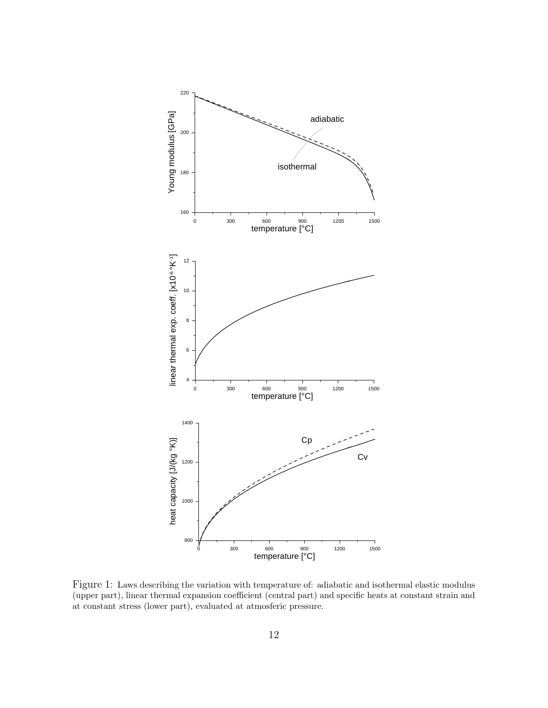

Figure 1: Laws describing the variation with temperature of: adiabatic and isothermal elastic modulus (upper part), linear thermal expansion coefficient (central part) and specific heats at constant strain and at constant stress (lower part), evaluated at atmosferic pressure.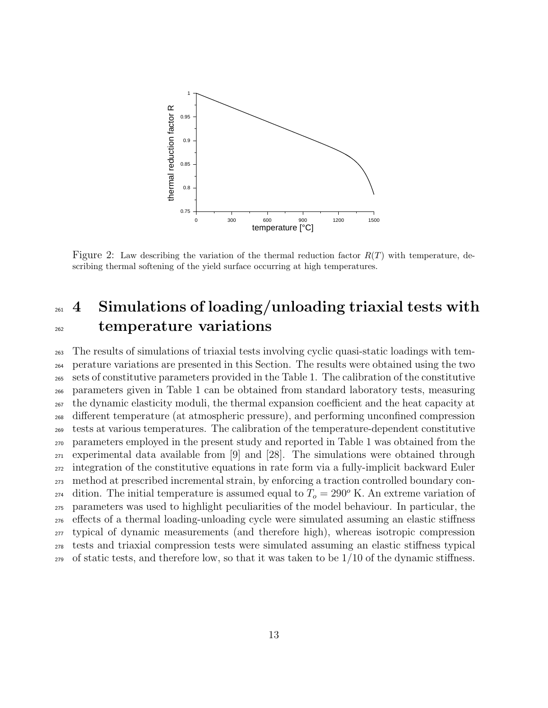

Figure 2: Law describing the variation of the thermal reduction factor  $R(T)$  with temperature, describing thermal softening of the yield surface occurring at high temperatures.

## 261 4 Simulations of loading/unloading triaxial tests with <sup>262</sup> temperature variations

 The results of simulations of triaxial tests involving cyclic quasi-static loadings with tem- perature variations are presented in this Section. The results were obtained using the two sets of constitutive parameters provided in the Table 1. The calibration of the constitutive parameters given in Table 1 can be obtained from standard laboratory tests, measuring the dynamic elasticity moduli, the thermal expansion coefficient and the heat capacity at different temperature (at atmospheric pressure), and performing unconfined compression tests at various temperatures. The calibration of the temperature-dependent constitutive parameters employed in the present study and reported in Table 1 was obtained from the experimental data available from [9] and [28]. The simulations were obtained through integration of the constitutive equations in rate form via a fully-implicit backward Euler method at prescribed incremental strain, by enforcing a traction controlled boundary con-<sup>274</sup> dition. The initial temperature is assumed equal to  $T<sub>o</sub> = 290<sup>o</sup>$  K. An extreme variation of parameters was used to highlight peculiarities of the model behaviour. In particular, the effects of a thermal loading-unloading cycle were simulated assuming an elastic stiffness typical of dynamic measurements (and therefore high), whereas isotropic compression tests and triaxial compression tests were simulated assuming an elastic stiffness typical  $_{279}$  of static tests, and therefore low, so that it was taken to be  $1/10$  of the dynamic stiffness.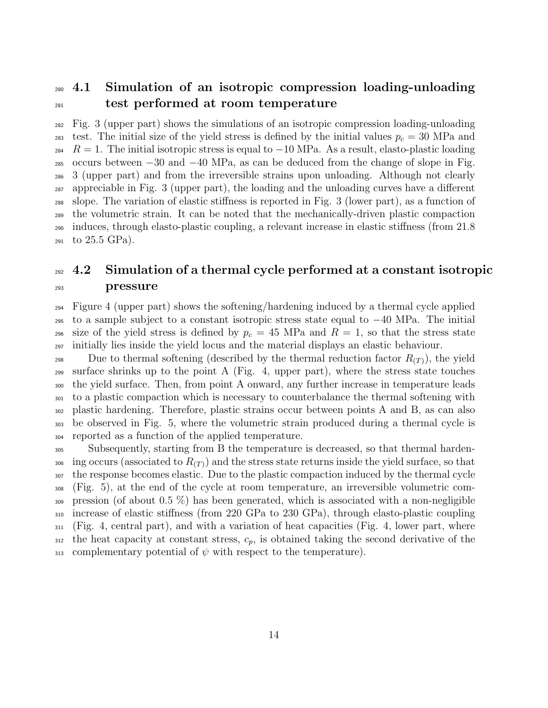## 4.1 Simulation of an isotropic compression loading-unloading test performed at room temperature

 Fig. 3 (upper part) shows the simulations of an isotropic compression loading-unloading 283 test. The initial size of the yield stress is defined by the initial values  $p_c = 30$  MPa and <sup>284</sup>  $R = 1$ . The initial isotropic stress is equal to  $-10$  MPa. As a result, elasto-plastic loading 285 occurs between  $-30$  and  $-40$  MPa, as can be deduced from the change of slope in Fig. 3 (upper part) and from the irreversible strains upon unloading. Although not clearly appreciable in Fig. 3 (upper part), the loading and the unloading curves have a different slope. The variation of elastic stiffness is reported in Fig. 3 (lower part), as a function of the volumetric strain. It can be noted that the mechanically-driven plastic compaction induces, through elasto-plastic coupling, a relevant increase in elastic stiffness (from 21.8  $_{291}$  to 25.5 GPa).

## $292 \, 4.2$  Simulation of a thermal cycle performed at a constant isotropic pressure

 Figure 4 (upper part) shows the softening/hardening induced by a thermal cycle applied  $_{295}$  to a sample subject to a constant isotropic stress state equal to  $-40$  MPa. The initial 296 size of the yield stress is defined by  $p_c = 45$  MPa and  $R = 1$ , so that the stress state initially lies inside the yield locus and the material displays an elastic behaviour.

298 Due to thermal softening (described by the thermal reduction factor  $R(T)$ ), the yield 299 surface shrinks up to the point A (Fig. 4, upper part), where the stress state touches the yield surface. Then, from point A onward, any further increase in temperature leads to a plastic compaction which is necessary to counterbalance the thermal softening with plastic hardening. Therefore, plastic strains occur between points A and B, as can also be observed in Fig. 5, where the volumetric strain produced during a thermal cycle is reported as a function of the applied temperature.

 Subsequently, starting from B the temperature is decreased, so that thermal harden-<sup>306</sup> ing occurs (associated to  $R_{(T)}$ ) and the stress state returns inside the yield surface, so that the response becomes elastic. Due to the plastic compaction induced by the thermal cycle (Fig. 5), at the end of the cycle at room temperature, an irreversible volumetric com- pression (of about 0.5 %) has been generated, which is associated with a non-negligible increase of elastic stiffness (from 220 GPa to 230 GPa), through elasto-plastic coupling (Fig. 4, central part), and with a variation of heat capacities (Fig. 4, lower part, where the heat capacity at constant stress,  $c_p$ , is obtained taking the second derivative of the 313 complementary potential of  $\psi$  with respect to the temperature).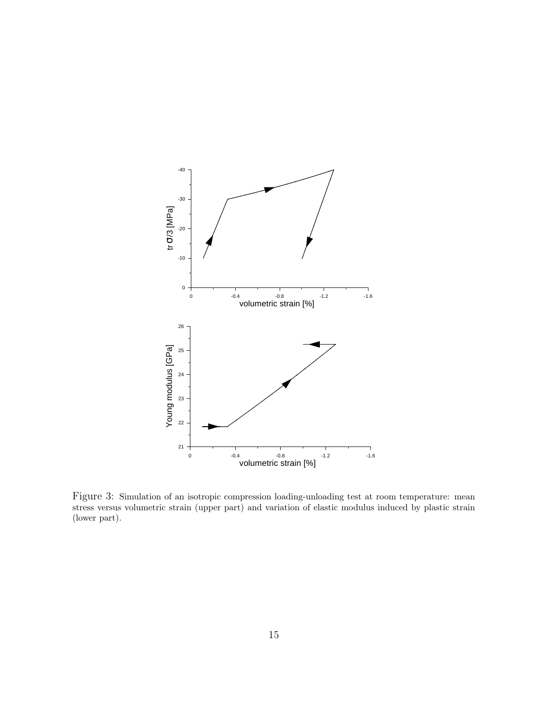

Figure 3: Simulation of an isotropic compression loading-unloading test at room temperature: mean stress versus volumetric strain (upper part) and variation of elastic modulus induced by plastic strain (lower part).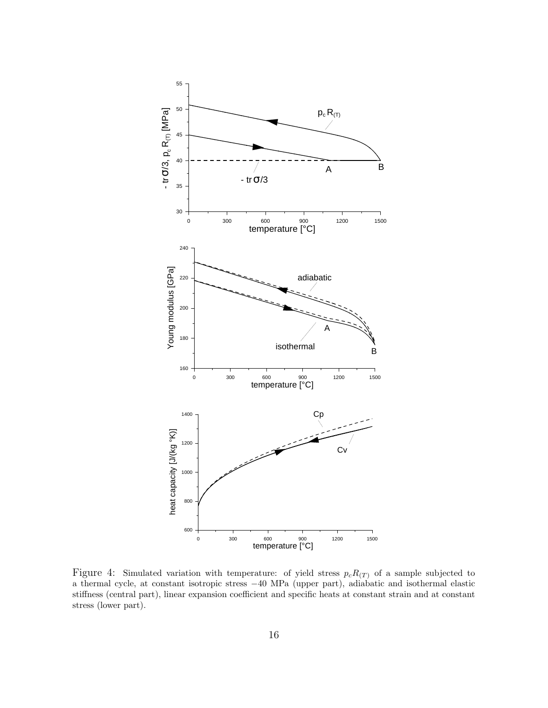

Figure 4: Simulated variation with temperature: of yield stress  $p_cR_{(T)}$  of a sample subjected to a thermal cycle, at constant isotropic stress −40 MPa (upper part), adiabatic and isothermal elastic stiffness (central part), linear expansion coefficient and specific heats at constant strain and at constant stress (lower part).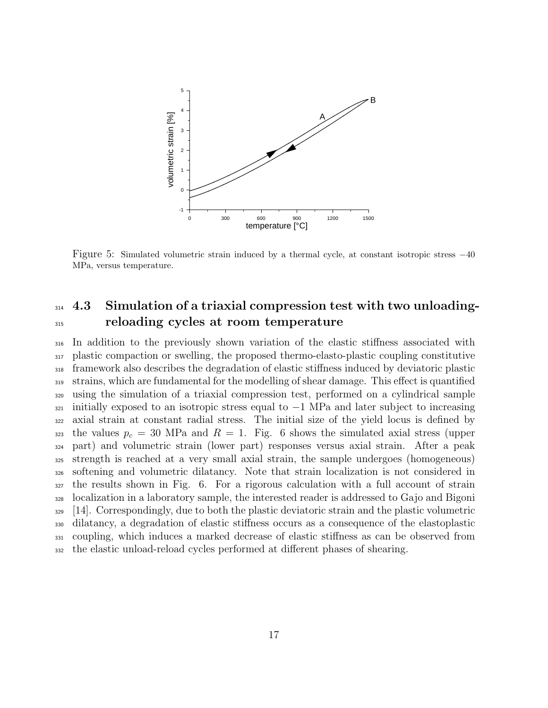

Figure 5: Simulated volumetric strain induced by a thermal cycle, at constant isotropic stress −40 MPa, versus temperature.

## 314 4.3 Simulation of a triaxial compression test with two unloading-reloading cycles at room temperature

 In addition to the previously shown variation of the elastic stiffness associated with plastic compaction or swelling, the proposed thermo-elasto-plastic coupling constitutive framework also describes the degradation of elastic stiffness induced by deviatoric plastic strains, which are fundamental for the modelling of shear damage. This effect is quantified using the simulation of a triaxial compression test, performed on a cylindrical sample initially exposed to an isotropic stress equal to  $-1$  MPa and later subject to increasing axial strain at constant radial stress. The initial size of the yield locus is defined by 323 the values  $p_c = 30$  MPa and  $R = 1$ . Fig. 6 shows the simulated axial stress (upper part) and volumetric strain (lower part) responses versus axial strain. After a peak strength is reached at a very small axial strain, the sample undergoes (homogeneous) softening and volumetric dilatancy. Note that strain localization is not considered in the results shown in Fig. 6. For a rigorous calculation with a full account of strain localization in a laboratory sample, the interested reader is addressed to Gajo and Bigoni [14]. Correspondingly, due to both the plastic deviatoric strain and the plastic volumetric dilatancy, a degradation of elastic stiffness occurs as a consequence of the elastoplastic coupling, which induces a marked decrease of elastic stiffness as can be observed from the elastic unload-reload cycles performed at different phases of shearing.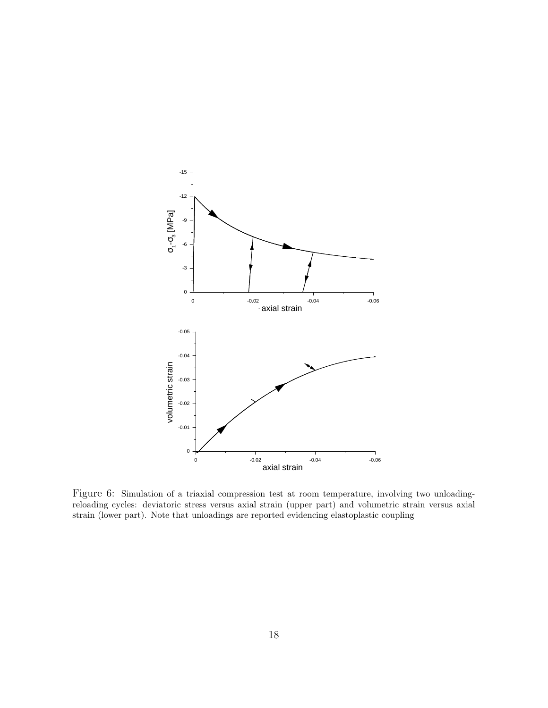

Figure 6: Simulation of a triaxial compression test at room temperature, involving two unloadingreloading cycles: deviatoric stress versus axial strain (upper part) and volumetric strain versus axial strain (lower part). Note that unloadings are reported evidencing elastoplastic coupling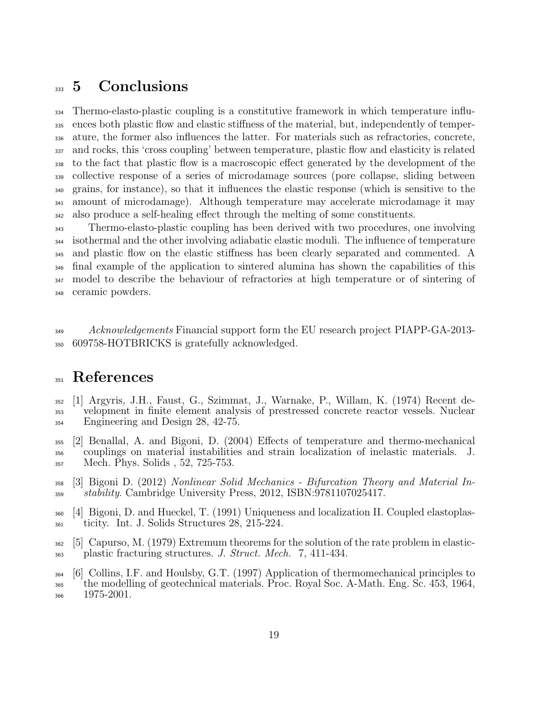## 333 5 Conclusions

 Thermo-elasto-plastic coupling is a constitutive framework in which temperature influ- ences both plastic flow and elastic stiffness of the material, but, independently of temper- ature, the former also influences the latter. For materials such as refractories, concrete, and rocks, this 'cross coupling' between temperature, plastic flow and elasticity is related to the fact that plastic flow is a macroscopic effect generated by the development of the collective response of a series of microdamage sources (pore collapse, sliding between grains, for instance), so that it influences the elastic response (which is sensitive to the amount of microdamage). Although temperature may accelerate microdamage it may also produce a self-healing effect through the melting of some constituents.

 Thermo-elasto-plastic coupling has been derived with two procedures, one involving isothermal and the other involving adiabatic elastic moduli. The influence of temperature and plastic flow on the elastic stiffness has been clearly separated and commented. A final example of the application to sintered alumina has shown the capabilities of this model to describe the behaviour of refractories at high temperature or of sintering of ceramic powders.

349 Acknowledgements Financial support form the EU research project PIAPP-GA-2013-609758-HOTBRICKS is gratefully acknowledged.

## References

- [1] Argyris, J.H., Faust, G., Szimmat, J., Warnake, P., Willam, K. (1974) Recent de- velopment in finite element analysis of prestressed concrete reactor vessels. Nuclear Engineering and Design 28, 42-75.
- [2] Benallal, A. and Bigoni, D. (2004) Effects of temperature and thermo-mechanical couplings on material instabilities and strain localization of inelastic materials. J. Mech. Phys. Solids , 52, 725-753.
- [3] Bigoni D. (2012) Nonlinear Solid Mechanics Bifurcation Theory and Material In-stability. Cambridge University Press, 2012, ISBN:9781107025417.
- [4] Bigoni, D. and Hueckel, T. (1991) Uniqueness and localization II. Coupled elastoplas-ticity. Int. J. Solids Structures 28, 215-224.
- [5] Capurso, M. (1979) Extremum theorems for the solution of the rate problem in elastic-plastic fracturing structures. J. Struct. Mech. 7, 411-434.
- [6] Collins, I.F. and Houlsby, G.T. (1997) Application of thermomechanical principles to the modelling of geotechnical materials. Proc. Royal Soc. A-Math. Eng. Sc. 453, 1964, 1975-2001.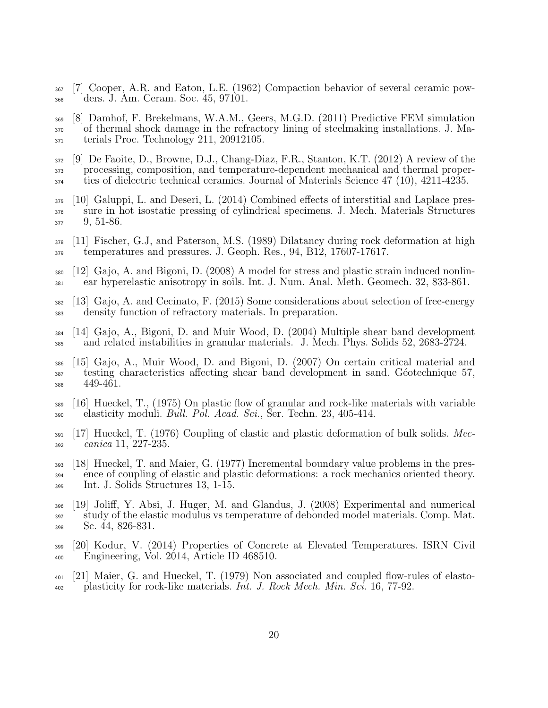[7] Cooper, A.R. and Eaton, L.E. (1962) Compaction behavior of several ceramic pow-ders. J. Am. Ceram. Soc. 45, 97101.

 [8] Damhof, F. Brekelmans, W.A.M., Geers, M.G.D. (2011) Predictive FEM simulation 370 of thermal shock damage in the refractory lining of steelmaking installations. J. Ma-terials Proc. Technology 211, 20912105.

- [9] De Faoite, D., Browne, D.J., Chang-Diaz, F.R., Stanton, K.T. (2012) A review of the processing, composition, and temperature-dependent mechanical and thermal proper-ties of dielectric technical ceramics. Journal of Materials Science 47 (10), 4211-4235.
- [10] Galuppi, L. and Deseri, L. (2014) Combined effects of interstitial and Laplace pres- sure in hot isostatic pressing of cylindrical specimens. J. Mech. Materials Structures 9, 51-86.
- [11] Fischer, G.J, and Paterson, M.S. (1989) Dilatancy during rock deformation at high temperatures and pressures. J. Geoph. Res., 94, B12, 17607-17617.
- $380 \quad [12]$  Gajo, A. and Bigoni, D. (2008) A model for stress and plastic strain induced nonlin-ear hyperelastic anisotropy in soils. Int. J. Num. Anal. Meth. Geomech. 32, 833-861.
- [13] Gajo, A. and Cecinato, F. (2015) Some considerations about selection of free-energy density function of refractory materials. In preparation.
- [14] Gajo, A., Bigoni, D. and Muir Wood, D. (2004) Multiple shear band development and related instabilities in granular materials. J. Mech. Phys. Solids 52, 2683-2724.
- [15] Gajo, A., Muir Wood, D. and Bigoni, D. (2007) On certain critical material and testing characteristics affecting shear band development in sand. Géotechnique 57, 449-461.
- [16] Hueckel, T., (1975) On plastic flow of granular and rock-like materials with variable  $_{390}$  elasticity moduli. *Bull. Pol. Acad. Sci.*, Ser. Techn. 23, 405-414.
- [17] Hueckel, T. (1976) Coupling of elastic and plastic deformation of bulk solids. Mec-canica 11, 227-235.
- [18] Hueckel, T. and Maier, G. (1977) Incremental boundary value problems in the pres- ence of coupling of elastic and plastic deformations: a rock mechanics oriented theory. Int. J. Solids Structures 13, 1-15.
- [19] Joliff, Y. Absi, J. Huger, M. and Glandus, J. (2008) Experimental and numerical study of the elastic modulus vs temperature of debonded model materials. Comp. Mat. Sc. 44, 826-831.
- [20] Kodur, V. (2014) Properties of Concrete at Elevated Temperatures. ISRN Civil Engineering, Vol. 2014, Article ID 468510.
- [21] Maier, G. and Hueckel, T. (1979) Non associated and coupled flow-rules of elasto- $\mu_{402}$  plasticity for rock-like materials. Int. J. Rock Mech. Min. Sci. 16, 77-92.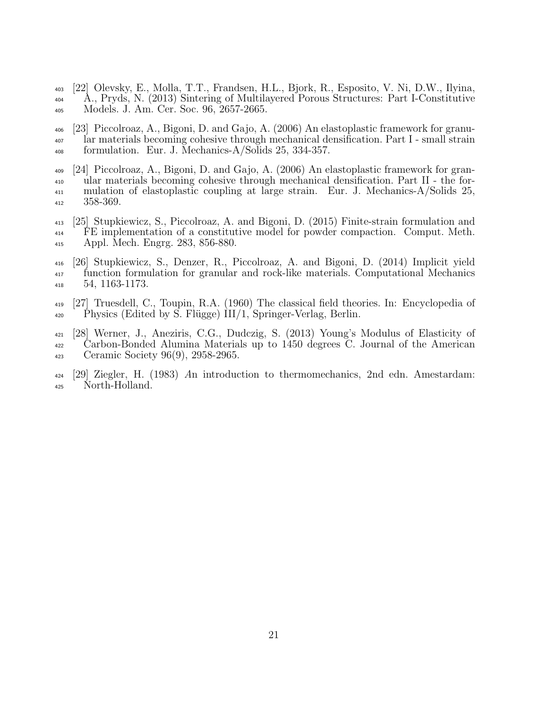- [22] Olevsky, E., Molla, T.T., Frandsen, H.L., Bjork, R., Esposito, V. Ni, D.W., Ilyina, A., Pryds, N. (2013) Sintering of Multilayered Porous Structures: Part I-Constitutive Models. J. Am. Cer. Soc. 96, 2657-2665.
- [23] Piccolroaz, A., Bigoni, D. and Gajo, A. (2006) An elastoplastic framework for granu- lar materials becoming cohesive through mechanical densification. Part I - small strain formulation. Eur. J. Mechanics-A/Solids 25, 334-357.
- [24] Piccolroaz, A., Bigoni, D. and Gajo, A. (2006) An elastoplastic framework for gran- ular materials becoming cohesive through mechanical densification. Part II - the for- mulation of elastoplastic coupling at large strain. Eur. J. Mechanics-A/Solids 25, 358-369.
- [25] Stupkiewicz, S., Piccolroaz, A. and Bigoni, D. (2015) Finite-strain formulation and FE implementation of a constitutive model for powder compaction. Comput. Meth. Appl. Mech. Engrg. 283, 856-880.
- [26] Stupkiewicz, S., Denzer, R., Piccolroaz, A. and Bigoni, D. (2014) Implicit yield function formulation for granular and rock-like materials. Computational Mechanics 54, 1163-1173.
- [27] Truesdell, C., Toupin, R.A. (1960) The classical field theories. In: Encyclopedia of  $_{420}$  Physics (Edited by S. Flügge) III/1, Springer-Verlag, Berlin.
- [28] Werner, J., Aneziris, C.G., Dudczig, S. (2013) Young's Modulus of Elasticity of Carbon-Bonded Alumina Materials up to 1450 degrees C. Journal of the American Ceramic Society 96(9), 2958-2965.
- [29] Ziegler, H. (1983) An introduction to thermomechanics, 2nd edn. Amestardam: North-Holland.